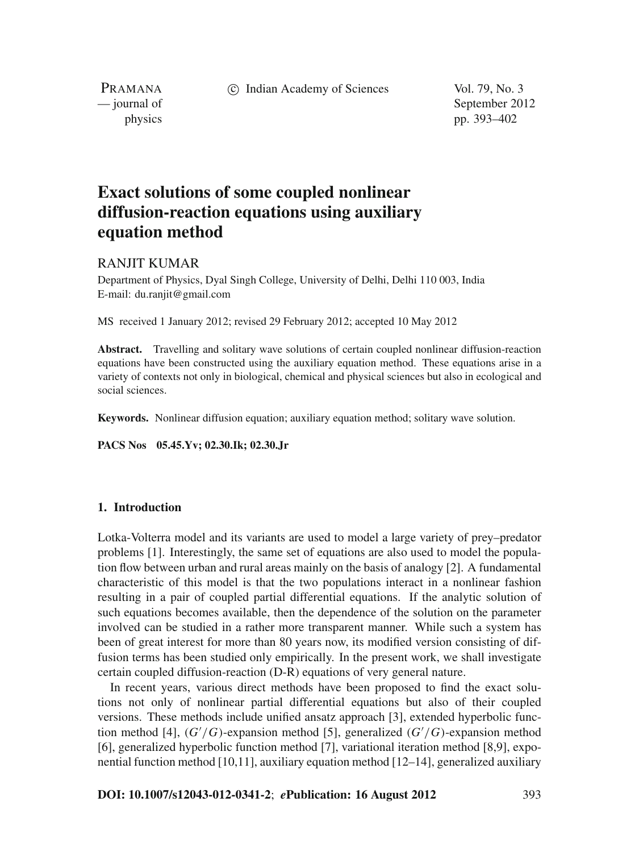c Indian Academy of Sciences Vol. 79, No. 3

PRAMANA

— journal of September 2012 physics pp. 393–402

# **Exact solutions of some coupled nonlinear diffusion-reaction equations using auxiliary equation method**

# RANJIT KUMAR

Department of Physics, Dyal Singh College, University of Delhi, Delhi 110 003, India E-mail: du.ranjit@gmail.com

MS received 1 January 2012; revised 29 February 2012; accepted 10 May 2012

**Abstract.** Travelling and solitary wave solutions of certain coupled nonlinear diffusion-reaction equations have been constructed using the auxiliary equation method. These equations arise in a variety of contexts not only in biological, chemical and physical sciences but also in ecological and social sciences.

**Keywords.** Nonlinear diffusion equation; auxiliary equation method; solitary wave solution.

**PACS Nos 05.45.Yv; 02.30.Ik; 02.30.Jr**

## **1. Introduction**

Lotka-Volterra model and its variants are used to model a large variety of prey–predator problems [1]. Interestingly, the same set of equations are also used to model the population flow between urban and rural areas mainly on the basis of analogy [2]. A fundamental characteristic of this model is that the two populations interact in a nonlinear fashion resulting in a pair of coupled partial differential equations. If the analytic solution of such equations becomes available, then the dependence of the solution on the parameter involved can be studied in a rather more transparent manner. While such a system has been of great interest for more than 80 years now, its modified version consisting of diffusion terms has been studied only empirically. In the present work, we shall investigate certain coupled diffusion-reaction (D-R) equations of very general nature.

In recent years, various direct methods have been proposed to find the exact solutions not only of nonlinear partial differential equations but also of their coupled versions. These methods include unified ansatz approach [3], extended hyperbolic function method [4], (*G* /*G*)-expansion method [5], generalized (*G* /*G*)-expansion method [6], generalized hyperbolic function method [7], variational iteration method [8,9], exponential function method [10,11], auxiliary equation method [12–14], generalized auxiliary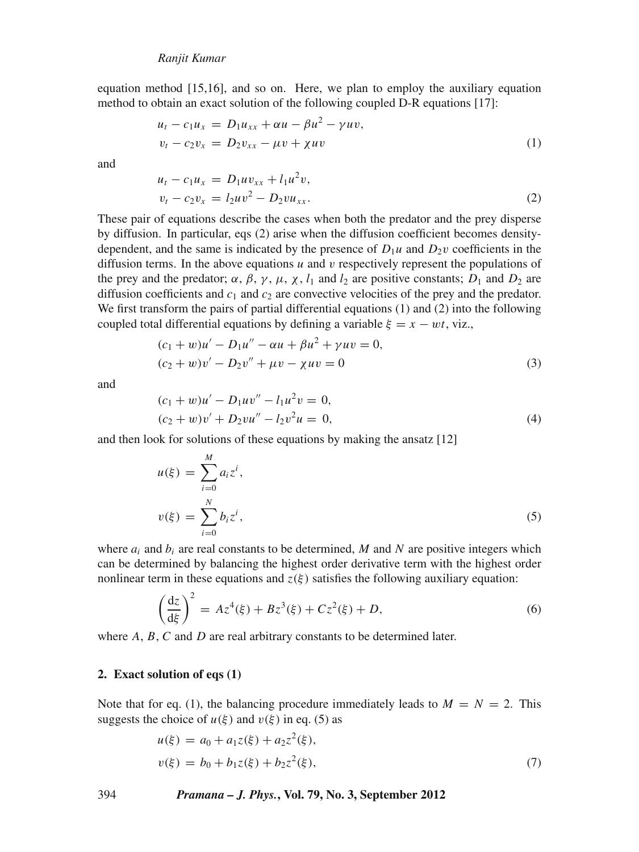equation method [15,16], and so on. Here, we plan to employ the auxiliary equation method to obtain an exact solution of the following coupled D-R equations [17]:

$$
u_t - c_1 u_x = D_1 u_{xx} + \alpha u - \beta u^2 - \gamma u v, \n v_t - c_2 v_x = D_2 v_{xx} - \mu v + \chi u v
$$
\n(1)

and

$$
u_t - c_1 u_x = D_1 u v_{xx} + l_1 u^2 v,
$$
  
\n
$$
v_t - c_2 v_x = l_2 u v^2 - D_2 v u_{xx}.
$$
\n(2)

These pair of equations describe the cases when both the predator and the prey disperse by diffusion. In particular, eqs (2) arise when the diffusion coefficient becomes densitydependent, and the same is indicated by the presence of  $D_1u$  and  $D_2v$  coefficients in the diffusion terms. In the above equations  $u$  and  $v$  respectively represent the populations of the prey and the predator;  $\alpha$ ,  $\beta$ ,  $\gamma$ ,  $\mu$ ,  $\chi$ ,  $l_1$  and  $l_2$  are positive constants;  $D_1$  and  $D_2$  are diffusion coefficients and  $c_1$  and  $c_2$  are convective velocities of the prey and the predator. We first transform the pairs of partial differential equations (1) and (2) into the following coupled total differential equations by defining a variable  $\xi = x - wt$ , viz.,

$$
(c1 + w)u' - D1u'' - \alpha u + \beta u2 + \gamma u v = 0,(c2 + w)v' - D2v'' + \mu v - \chi u v = 0
$$
\n(3)

and

$$
(c1 + w)u' - D1uv'' - l1u2v = 0,(c2 + w)v' + D2vu'' - l2v2u = 0,
$$
\n(4)

and then look for solutions of these equations by making the ansatz [12]

$$
u(\xi) = \sum_{i=0}^{M} a_i z^i,
$$
  

$$
v(\xi) = \sum_{i=0}^{N} b_i z^i,
$$
 (5)

where  $a_i$  and  $b_i$  are real constants to be determined, M and N are positive integers which can be determined by balancing the highest order derivative term with the highest order nonlinear term in these equations and  $z(\xi)$  satisfies the following auxiliary equation:

$$
\left(\frac{dz}{d\xi}\right)^2 = Az^4(\xi) + Bz^3(\xi) + Cz^2(\xi) + D,\tag{6}
$$

where *A*, *B*, *C* and *D* are real arbitrary constants to be determined later.

#### **2. Exact solution of eqs (1)**

Note that for eq. (1), the balancing procedure immediately leads to  $M = N = 2$ . This suggests the choice of  $u(\xi)$  and  $v(\xi)$  in eq. (5) as

$$
u(\xi) = a_0 + a_1 z(\xi) + a_2 z^2(\xi),
$$
  
\n
$$
v(\xi) = b_0 + b_1 z(\xi) + b_2 z^2(\xi),
$$
\n(7)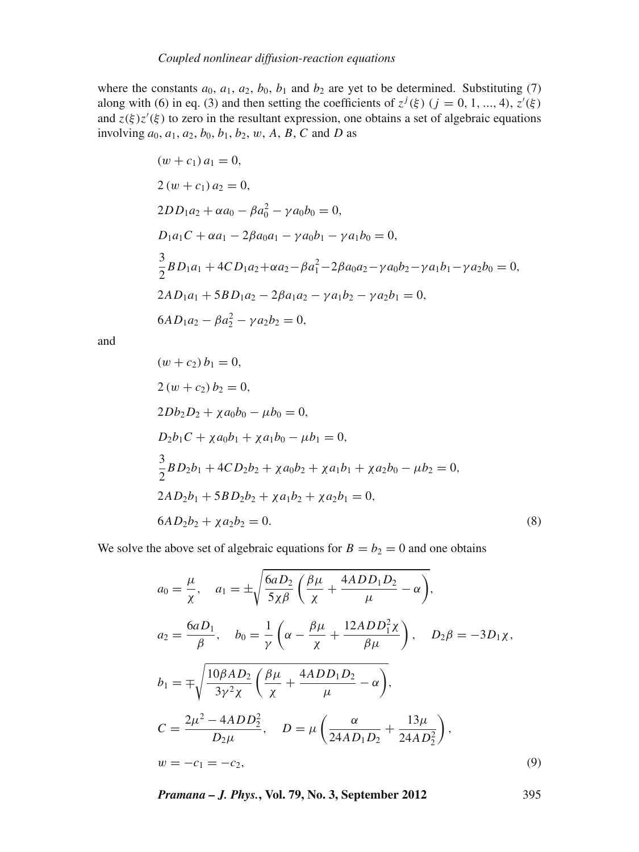where the constants  $a_0$ ,  $a_1$ ,  $a_2$ ,  $b_0$ ,  $b_1$  and  $b_2$  are yet to be determined. Substituting (7) along with (6) in eq. (3) and then setting the coefficients of  $z^{j}(\xi)$  ( $j = 0, 1, ..., 4$ ),  $z'(\xi)$ and  $z(\xi)z'(\xi)$  to zero in the resultant expression, one obtains a set of algebraic equations involving  $a_0, a_1, a_2, b_0, b_1, b_2, w, A, B, C$  and *D* as

$$
(w + c_1) a_1 = 0,
$$
  
\n
$$
2 (w + c_1) a_2 = 0,
$$
  
\n
$$
2DD_1a_2 + \alpha a_0 - \beta a_0^2 - \gamma a_0b_0 = 0,
$$
  
\n
$$
D_1a_1C + \alpha a_1 - 2\beta a_0a_1 - \gamma a_0b_1 - \gamma a_1b_0 = 0,
$$
  
\n
$$
\frac{3}{2}BD_1a_1 + 4CD_1a_2 + \alpha a_2 - \beta a_1^2 - 2\beta a_0a_2 - \gamma a_0b_2 - \gamma a_1b_1 - \gamma a_2b_0 = 0,
$$
  
\n
$$
2AD_1a_1 + 5BD_1a_2 - 2\beta a_1a_2 - \gamma a_1b_2 - \gamma a_2b_1 = 0,
$$
  
\n
$$
6AD_1a_2 - \beta a_2^2 - \gamma a_2b_2 = 0,
$$

and

$$
(w + c_2) b_1 = 0,
$$
  
\n
$$
2 (w + c_2) b_2 = 0,
$$
  
\n
$$
2Db_2D_2 + \chi a_0b_0 - \mu b_0 = 0,
$$
  
\n
$$
D_2b_1C + \chi a_0b_1 + \chi a_1b_0 - \mu b_1 = 0,
$$
  
\n
$$
\frac{3}{2}BD_2b_1 + 4CD_2b_2 + \chi a_0b_2 + \chi a_1b_1 + \chi a_2b_0 - \mu b_2 = 0,
$$
  
\n
$$
2AD_2b_1 + 5BD_2b_2 + \chi a_1b_2 + \chi a_2b_1 = 0,
$$
  
\n
$$
6AD_2b_2 + \chi a_2b_2 = 0.
$$
  
\n(8)

We solve the above set of algebraic equations for  $B = b_2 = 0$  and one obtains

$$
a_0 = \frac{\mu}{\chi}, \quad a_1 = \pm \sqrt{\frac{6aD_2}{5\chi\beta} \left(\frac{\beta\mu}{\chi} + \frac{4ADD_1D_2}{\mu} - \alpha\right)},
$$
  
\n
$$
a_2 = \frac{6aD_1}{\beta}, \quad b_0 = \frac{1}{\gamma} \left(\alpha - \frac{\beta\mu}{\chi} + \frac{12ADD_1^2\chi}{\beta\mu}\right), \quad D_2\beta = -3D_1\chi,
$$
  
\n
$$
b_1 = \mp \sqrt{\frac{10\beta AD_2}{3\gamma^2\chi} \left(\frac{\beta\mu}{\chi} + \frac{4ADD_1D_2}{\mu} - \alpha\right)},
$$
  
\n
$$
C = \frac{2\mu^2 - 4ADD_2^2}{D_2\mu}, \quad D = \mu \left(\frac{\alpha}{24AD_1D_2} + \frac{13\mu}{24AD_2^2}\right),
$$
  
\n
$$
w = -c_1 = -c_2,
$$
  
\n(9)

*Pramana – J. Phys.***, Vol. 79, No. 3, September 2012** 395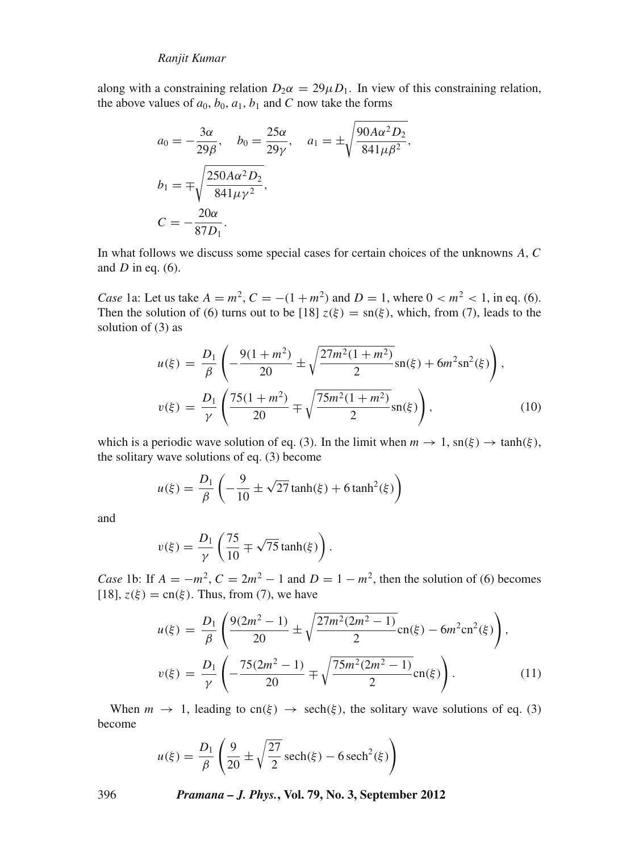along with a constraining relation  $D_2\alpha = 29\mu D_1$ . In view of this constraining relation, the above values of  $a_0$ ,  $b_0$ ,  $a_1$ ,  $b_1$  and *C* now take the forms

$$
a_0 = -\frac{3\alpha}{29\beta}, \quad b_0 = \frac{25\alpha}{29\gamma}, \quad a_1 = \pm \sqrt{\frac{90A\alpha^2 D_2}{841\mu\beta^2}},
$$

$$
b_1 = \mp \sqrt{\frac{250A\alpha^2 D_2}{841\mu\gamma^2}},
$$

$$
C = -\frac{20\alpha}{87D_1}.
$$

In what follows we discuss some special cases for certain choices of the unknowns *A*, *C* and *D* in eq. (6).

*Case* 1a: Let us take  $A = m^2$ ,  $C = -(1 + m^2)$  and  $D = 1$ , where  $0 < m^2 < 1$ , in eq. (6). Then the solution of (6) turns out to be [18]  $z(\xi) = \text{sn}(\xi)$ , which, from (7), leads to the solution of (3) as

$$
u(\xi) = \frac{D_1}{\beta} \left( -\frac{9(1+m^2)}{20} \pm \sqrt{\frac{27m^2(1+m^2)}{2}} \operatorname{sn}(\xi) + 6m^2 \operatorname{sn}^2(\xi) \right),
$$
  

$$
v(\xi) = \frac{D_1}{\gamma} \left( \frac{75(1+m^2)}{20} \mp \sqrt{\frac{75m^2(1+m^2)}{2}} \operatorname{sn}(\xi) \right),
$$
 (10)

which is a periodic wave solution of eq. (3). In the limit when  $m \to 1$ , sn( $\xi$ )  $\to \tanh(\xi)$ , the solitary wave solutions of eq. (3) become

$$
u(\xi) = \frac{D_1}{\beta} \left( -\frac{9}{10} \pm \sqrt{27} \tanh(\xi) + 6 \tanh^2(\xi) \right)
$$

and

$$
v(\xi) = \frac{D_1}{\gamma} \left( \frac{75}{10} \mp \sqrt{75} \tanh(\xi) \right).
$$

*Case* 1b: If  $A = -m^2$ ,  $C = 2m^2 - 1$  and  $D = 1 - m^2$ , then the solution of (6) becomes [18],  $z(\xi) = cn(\xi)$ . Thus, from (7), we have

$$
u(\xi) = \frac{D_1}{\beta} \left( \frac{9(2m^2 - 1)}{20} \pm \sqrt{\frac{27m^2(2m^2 - 1)}{2}} \text{cn}(\xi) - 6m^2 \text{cn}^2(\xi) \right),
$$
  

$$
v(\xi) = \frac{D_1}{\gamma} \left( -\frac{75(2m^2 - 1)}{20} \mp \sqrt{\frac{75m^2(2m^2 - 1)}{2}} \text{cn}(\xi) \right).
$$
 (11)

When  $m \to 1$ , leading to cn( $\xi$ )  $\to$  sech( $\xi$ ), the solitary wave solutions of eq. (3) become

$$
u(\xi) = \frac{D_1}{\beta} \left( \frac{9}{20} \pm \sqrt{\frac{27}{2}} \operatorname{sech}(\xi) - 6 \operatorname{sech}^2(\xi) \right)
$$

396 *Pramana – J. Phys.***, Vol. 79, No. 3, September 2012**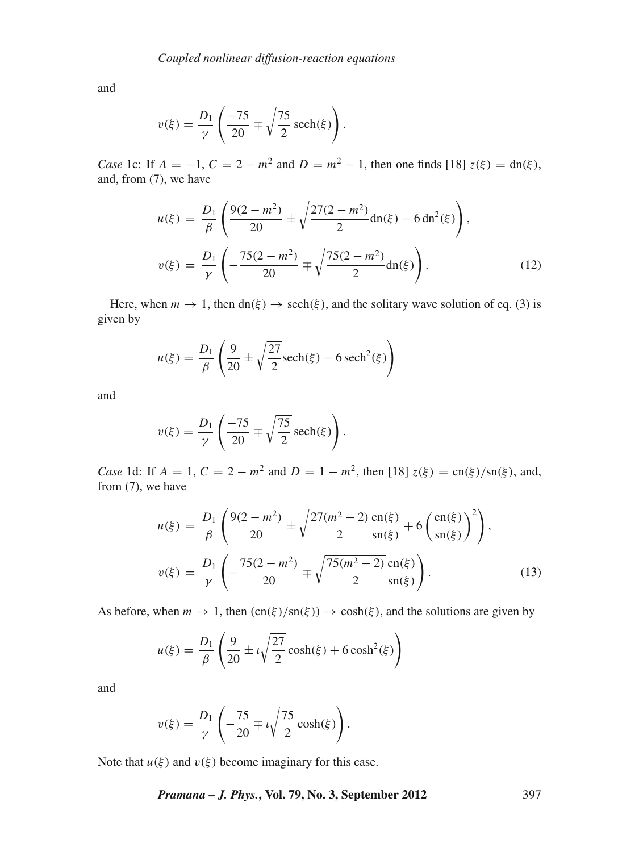and

$$
v(\xi) = \frac{D_1}{\gamma} \left( \frac{-75}{20} \mp \sqrt{\frac{75}{2}} \operatorname{sech}(\xi) \right).
$$

*Case* 1c: If  $A = -1$ ,  $C = 2 - m^2$  and  $D = m^2 - 1$ , then one finds [18]  $z(\xi) = dn(\xi)$ , and, from (7), we have

$$
u(\xi) = \frac{D_1}{\beta} \left( \frac{9(2 - m^2)}{20} \pm \sqrt{\frac{27(2 - m^2)}{2}} \mathrm{dn}(\xi) - 6 \, \mathrm{dn}^2(\xi) \right),
$$
  

$$
v(\xi) = \frac{D_1}{\gamma} \left( -\frac{75(2 - m^2)}{20} \mp \sqrt{\frac{75(2 - m^2)}{2}} \mathrm{dn}(\xi) \right).
$$
 (12)

Here, when  $m \to 1$ , then dn( $\xi$ )  $\to$  sech( $\xi$ ), and the solitary wave solution of eq. (3) is given by

$$
u(\xi) = \frac{D_1}{\beta} \left( \frac{9}{20} \pm \sqrt{\frac{27}{2}} \operatorname{sech}(\xi) - 6 \operatorname{sech}^2(\xi) \right)
$$

and

$$
v(\xi) = \frac{D_1}{\gamma} \left( \frac{-75}{20} \mp \sqrt{\frac{75}{2}} \operatorname{sech}(\xi) \right).
$$

*Case* 1d: If  $A = 1$ ,  $C = 2 - m^2$  and  $D = 1 - m^2$ , then [18]  $z(\xi) = \text{cn}(\xi)/\text{sn}(\xi)$ , and, from (7), we have

$$
u(\xi) = \frac{D_1}{\beta} \left( \frac{9(2 - m^2)}{20} \pm \sqrt{\frac{27(m^2 - 2)}{2}} \frac{\text{cn}(\xi)}{\text{sn}(\xi)} + 6 \left( \frac{\text{cn}(\xi)}{\text{sn}(\xi)} \right)^2 \right),
$$
  

$$
v(\xi) = \frac{D_1}{\gamma} \left( -\frac{75(2 - m^2)}{20} \mp \sqrt{\frac{75(m^2 - 2)}{2}} \frac{\text{cn}(\xi)}{\text{sn}(\xi)} \right).
$$
 (13)

As before, when  $m \to 1$ , then  $\text{cn}(\xi)/\text{sn}(\xi) \to \cosh(\xi)$ , and the solutions are given by

$$
u(\xi) = \frac{D_1}{\beta} \left( \frac{9}{20} \pm i \sqrt{\frac{27}{2}} \cosh(\xi) + 6 \cosh^2(\xi) \right)
$$

and

$$
v(\xi) = \frac{D_1}{\gamma} \left( -\frac{75}{20} \mp \iota \sqrt{\frac{75}{2}} \cosh(\xi) \right).
$$

Note that  $u(\xi)$  and  $v(\xi)$  become imaginary for this case.

*Pramana – J. Phys.***, Vol. 79, No. 3, September 2012** 397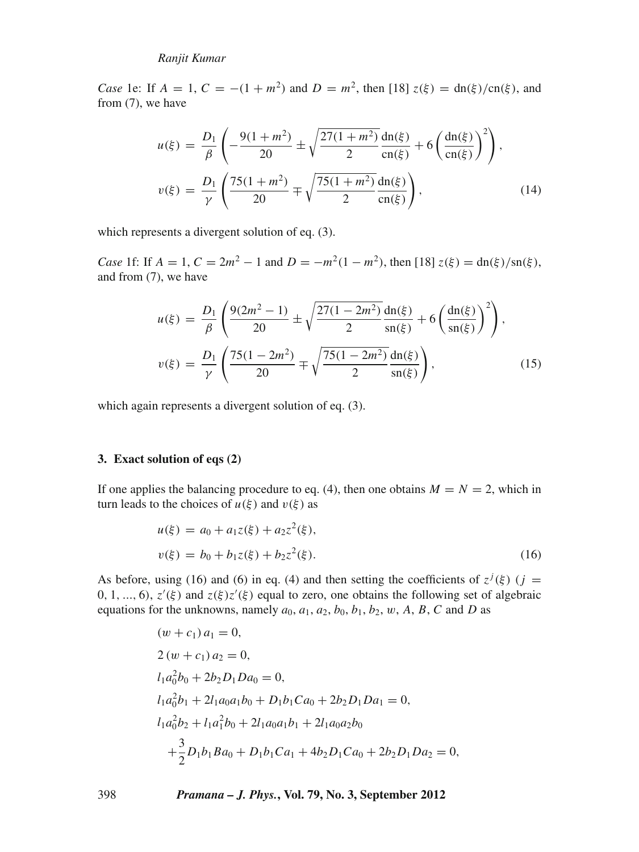*Case* 1e: If  $A = 1$ ,  $C = -(1 + m^2)$  and  $D = m^2$ , then [18]  $z(\xi) = dn(\xi)/cn(\xi)$ , and from (7), we have

$$
u(\xi) = \frac{D_1}{\beta} \left( -\frac{9(1+m^2)}{20} \pm \sqrt{\frac{27(1+m^2)}{2}} \frac{dn(\xi)}{cn(\xi)} + 6 \left( \frac{dn(\xi)}{cn(\xi)} \right)^2 \right),
$$
  

$$
v(\xi) = \frac{D_1}{\gamma} \left( \frac{75(1+m^2)}{20} \mp \sqrt{\frac{75(1+m^2)}{2}} \frac{dn(\xi)}{cn(\xi)} \right),
$$
 (14)

which represents a divergent solution of eq. (3).

*Case* 1f: If  $A = 1$ ,  $C = 2m^2 - 1$  and  $D = -m^2(1 - m^2)$ , then [18]  $z(\xi) = \frac{dn(\xi)}{sn(\xi)}$ , and from (7), we have

$$
u(\xi) = \frac{D_1}{\beta} \left( \frac{9(2m^2 - 1)}{20} \pm \sqrt{\frac{27(1 - 2m^2)}{2}} \frac{dn(\xi)}{sn(\xi)} + 6 \left( \frac{dn(\xi)}{sn(\xi)} \right)^2 \right),
$$
  

$$
v(\xi) = \frac{D_1}{\gamma} \left( \frac{75(1 - 2m^2)}{20} \mp \sqrt{\frac{75(1 - 2m^2)}{2}} \frac{dn(\xi)}{sn(\xi)} \right),
$$
 (15)

which again represents a divergent solution of eq.  $(3)$ .

#### **3. Exact solution of eqs (2)**

If one applies the balancing procedure to eq. (4), then one obtains  $M = N = 2$ , which in turn leads to the choices of  $u(\xi)$  and  $v(\xi)$  as

$$
u(\xi) = a_0 + a_1 z(\xi) + a_2 z^2(\xi),
$$
  

$$
v(\xi) = b_0 + b_1 z(\xi) + b_2 z^2(\xi).
$$
 (16)

As before, using (16) and (6) in eq. (4) and then setting the coefficients of  $z^{j}(\xi)$  (*j* =  $0, 1, ..., 6$ ,  $z'(\xi)$  and  $z(\xi)z'(\xi)$  equal to zero, one obtains the following set of algebraic equations for the unknowns, namely  $a_0$ ,  $a_1$ ,  $a_2$ ,  $b_0$ ,  $b_1$ ,  $b_2$ ,  $w$ ,  $A$ ,  $B$ ,  $C$  and  $D$  as

$$
(w + c_1) a_1 = 0,
$$
  
\n
$$
2 (w + c_1) a_2 = 0,
$$
  
\n
$$
l_1 a_0^2 b_0 + 2b_2 D_1 D a_0 = 0,
$$
  
\n
$$
l_1 a_0^2 b_1 + 2l_1 a_0 a_1 b_0 + D_1 b_1 C a_0 + 2b_2 D_1 D a_1 = 0,
$$
  
\n
$$
l_1 a_0^2 b_2 + l_1 a_1^2 b_0 + 2l_1 a_0 a_1 b_1 + 2l_1 a_0 a_2 b_0
$$
  
\n
$$
+ \frac{3}{2} D_1 b_1 B a_0 + D_1 b_1 C a_1 + 4b_2 D_1 C a_0 + 2b_2 D_1 D a_2 = 0,
$$

398 *Pramana – J. Phys.***, Vol. 79, No. 3, September 2012**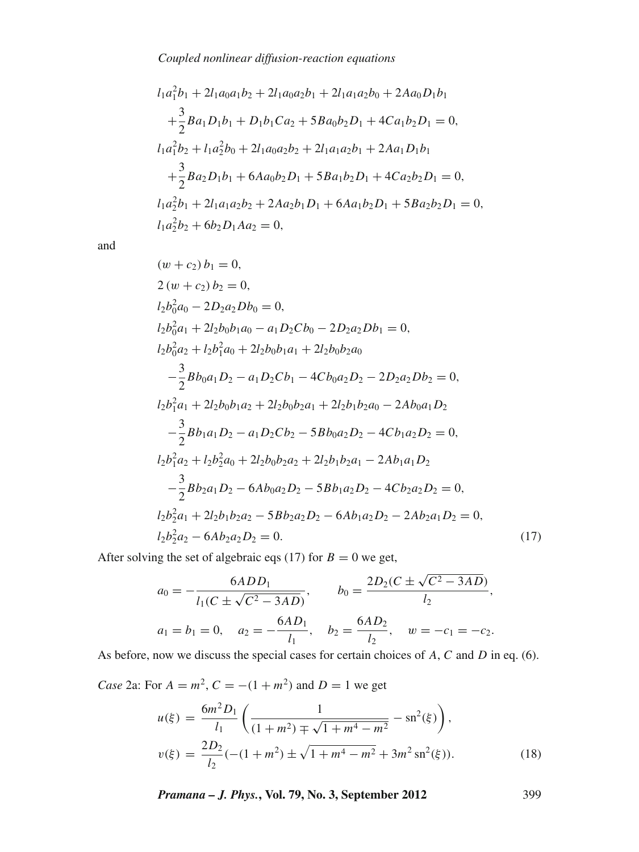$$
l_1a_1^2b_1 + 2l_1a_0a_1b_2 + 2l_1a_0a_2b_1 + 2l_1a_1a_2b_0 + 2Aa_0D_1b_1
$$
  
+  $\frac{3}{2}Ba_1D_1b_1 + D_1b_1Ca_2 + 5Ba_0b_2D_1 + 4Ca_1b_2D_1 = 0,$   

$$
l_1a_1^2b_2 + l_1a_2^2b_0 + 2l_1a_0a_2b_2 + 2l_1a_1a_2b_1 + 2Aa_1D_1b_1
$$
  
+  $\frac{3}{2}Ba_2D_1b_1 + 6Aa_0b_2D_1 + 5Ba_1b_2D_1 + 4Ca_2b_2D_1 = 0,$   

$$
l_1a_2^2b_1 + 2l_1a_1a_2b_2 + 2Aa_2b_1D_1 + 6Aa_1b_2D_1 + 5Ba_2b_2D_1 = 0,
$$
  

$$
l_1a_2^2b_2 + 6b_2D_1Aa_2 = 0,
$$

and

$$
(w + c_2) b_1 = 0,
$$
  
\n
$$
2 (w + c_2) b_2 = 0,
$$
  
\n
$$
l_2 b_0^2 a_0 - 2D_2 a_2 D b_0 = 0,
$$
  
\n
$$
l_2 b_0^2 a_1 + 2l_2 b_0 b_1 a_0 - a_1 D_2 C b_0 - 2D_2 a_2 D b_1 = 0,
$$
  
\n
$$
l_2 b_0^2 a_2 + l_2 b_1^2 a_0 + 2l_2 b_0 b_1 a_1 + 2l_2 b_0 b_2 a_0
$$
  
\n
$$
- \frac{3}{2} B b_0 a_1 D_2 - a_1 D_2 C b_1 - 4 C b_0 a_2 D_2 - 2 D_2 a_2 D b_2 = 0,
$$
  
\n
$$
l_2 b_1^2 a_1 + 2l_2 b_0 b_1 a_2 + 2l_2 b_0 b_2 a_1 + 2l_2 b_1 b_2 a_0 - 2 A b_0 a_1 D_2
$$
  
\n
$$
- \frac{3}{2} B b_1 a_1 D_2 - a_1 D_2 C b_2 - 5 B b_0 a_2 D_2 - 4 C b_1 a_2 D_2 = 0,
$$
  
\n
$$
l_2 b_1^2 a_2 + l_2 b_2^2 a_0 + 2l_2 b_0 b_2 a_2 + 2l_2 b_1 b_2 a_1 - 2 A b_1 a_1 D_2
$$
  
\n
$$
- \frac{3}{2} B b_2 a_1 D_2 - 6 A b_0 a_2 D_2 - 5 B b_1 a_2 D_2 - 4 C b_2 a_2 D_2 = 0,
$$
  
\n
$$
l_2 b_2^2 a_1 + 2l_2 b_1 b_2 a_2 - 5 B b_2 a_2 D_2 - 6 A b_1 a_2 D_2 - 2 A b_2 a_1 D_2 = 0,
$$
  
\n
$$
l_2 b_2^2 a_2 - 6 A b_2 a_2 D_2 = 0.
$$
  
\n(17)

After solving the set of algebraic eqs (17) for  $B = 0$  we get,

$$
a_0 = -\frac{6ADD_1}{l_1(C \pm \sqrt{C^2 - 3AD})}, \qquad b_0 = \frac{2D_2(C \pm \sqrt{C^2 - 3AD})}{l_2},
$$
  

$$
a_1 = b_1 = 0, \quad a_2 = -\frac{6AD_1}{l_1}, \quad b_2 = \frac{6AD_2}{l_2}, \quad w = -c_1 = -c_2.
$$

As before, now we discuss the special cases for certain choices of *A*, *C* and *D* in eq. (6).

*Case* 2a: For  $A = m^2$ ,  $C = -(1 + m^2)$  and  $D = 1$  we get

$$
u(\xi) = \frac{6m^2 D_1}{l_1} \left( \frac{1}{(1+m^2) \mp \sqrt{1+m^4 - m^2}} - \operatorname{sn}^2(\xi) \right),
$$
  

$$
v(\xi) = \frac{2D_2}{l_2} (-(1+m^2) \pm \sqrt{1+m^4 - m^2} + 3m^2 \operatorname{sn}^2(\xi)).
$$
 (18)

*Pramana – J. Phys.***, Vol. 79, No. 3, September 2012** 399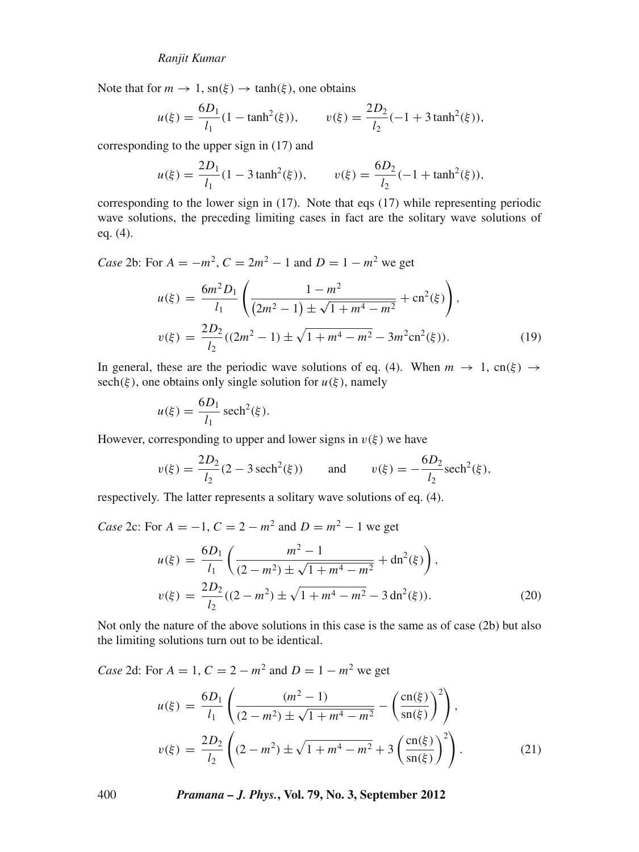Note that for  $m \to 1$ ,  $\text{sn}(\xi) \to \tanh(\xi)$ , one obtains

$$
u(\xi) = \frac{6D_1}{l_1} (1 - \tanh^2(\xi)), \qquad v(\xi) = \frac{2D_2}{l_2} (-1 + 3 \tanh^2(\xi)),
$$

corresponding to the upper sign in (17) and

$$
u(\xi) = \frac{2D_1}{l_1} (1 - 3 \tanh^2(\xi)), \qquad v(\xi) = \frac{6D_2}{l_2} (-1 + \tanh^2(\xi)),
$$

corresponding to the lower sign in (17). Note that eqs (17) while representing periodic wave solutions, the preceding limiting cases in fact are the solitary wave solutions of eq. (4).

*Case* 2b: For  $A = -m^2$ ,  $C = 2m^2 - 1$  and  $D = 1 - m^2$  we get

$$
u(\xi) = \frac{6m^2 D_1}{l_1} \left( \frac{1 - m^2}{(2m^2 - 1) \pm \sqrt{1 + m^4 - m^2}} + \text{cn}^2(\xi) \right),
$$
  

$$
v(\xi) = \frac{2D_2}{l_2} ((2m^2 - 1) \pm \sqrt{1 + m^4 - m^2} - 3m^2 \text{cn}^2(\xi)).
$$
 (19)

In general, these are the periodic wave solutions of eq. (4). When  $m \to 1$ , cn( $\xi$ )  $\to$ sech( $\xi$ ), one obtains only single solution for  $u(\xi)$ , namely

$$
u(\xi) = \frac{6D_1}{l_1} \operatorname{sech}^2(\xi).
$$

However, corresponding to upper and lower signs in  $v(\xi)$  we have

$$
v(\xi) = \frac{2D_2}{l_2}(2 - 3 \operatorname{sech}^2(\xi))
$$
 and  $v(\xi) = -\frac{6D_2}{l_2} \operatorname{sech}^2(\xi)$ ,

respectively. The latter represents a solitary wave solutions of eq. (4).

*Case* 2c: For  $A = -1$ ,  $C = 2 - m^2$  and  $D = m^2 - 1$  we get

$$
u(\xi) = \frac{6D_1}{l_1} \left( \frac{m^2 - 1}{(2 - m^2) \pm \sqrt{1 + m^4 - m^2}} + \mathrm{dn}^2(\xi) \right),
$$
  

$$
v(\xi) = \frac{2D_2}{l_2}((2 - m^2) \pm \sqrt{1 + m^4 - m^2} - 3 \,\mathrm{dn}^2(\xi)).
$$
 (20)

Not only the nature of the above solutions in this case is the same as of case (2b) but also the limiting solutions turn out to be identical.

*Case* 2d: For  $A = 1$ ,  $C = 2 - m^2$  and  $D = 1 - m^2$  we get

$$
u(\xi) = \frac{6D_1}{l_1} \left( \frac{(m^2 - 1)}{(2 - m^2) \pm \sqrt{1 + m^4 - m^2}} - \left( \frac{\text{cn}(\xi)}{\text{sn}(\xi)} \right)^2 \right),
$$
  

$$
v(\xi) = \frac{2D_2}{l_2} \left( (2 - m^2) \pm \sqrt{1 + m^4 - m^2} + 3 \left( \frac{\text{cn}(\xi)}{\text{sn}(\xi)} \right)^2 \right).
$$
 (21)

400 *Pramana – J. Phys.***, Vol. 79, No. 3, September 2012**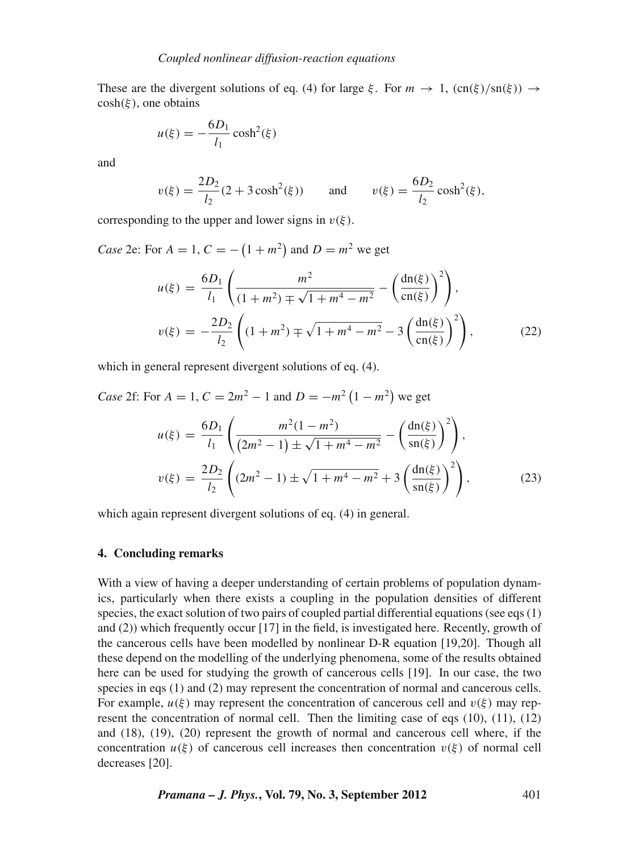These are the divergent solutions of eq. (4) for large  $\xi$ . For  $m \to 1$ ,  $(\text{cn}(\xi)/\text{sn}(\xi)) \to$  $cosh(\xi)$ , one obtains

$$
u(\xi) = -\frac{6D_1}{l_1}\cosh^2(\xi)
$$

and

$$
v(\xi) = \frac{2D_2}{l_2} (2 + 3\cosh^2(\xi))
$$
 and  $v(\xi) = \frac{6D_2}{l_2} \cosh^2(\xi)$ ,

corresponding to the upper and lower signs in  $v(\xi)$ .

*Case* 2e: For  $A = 1$ ,  $C = -(1 + m^2)$  and  $D = m^2$  we get

$$
u(\xi) = \frac{6D_1}{l_1} \left( \frac{m^2}{(1+m^2) \mp \sqrt{1+m^4-m^2}} - \left( \frac{dn(\xi)}{cn(\xi)} \right)^2 \right),
$$
  

$$
v(\xi) = -\frac{2D_2}{l_2} \left( (1+m^2) \mp \sqrt{1+m^4-m^2} - 3 \left( \frac{dn(\xi)}{cn(\xi)} \right)^2 \right),
$$
 (22)

which in general represent divergent solutions of eq. (4).

*Case* 2f: For  $A = 1$ ,  $C = 2m^2 - 1$  and  $D = -m^2(1 - m^2)$  we get

$$
u(\xi) = \frac{6D_1}{l_1} \left( \frac{m^2(1-m^2)}{(2m^2-1) \pm \sqrt{1+m^4-m^2}} - \left( \frac{dn(\xi)}{sn(\xi)} \right)^2 \right),
$$
  

$$
v(\xi) = \frac{2D_2}{l_2} \left( (2m^2-1) \pm \sqrt{1+m^4-m^2} + 3 \left( \frac{dn(\xi)}{sn(\xi)} \right)^2 \right),
$$
 (23)

which again represent divergent solutions of eq. (4) in general.

#### **4. Concluding remarks**

With a view of having a deeper understanding of certain problems of population dynamics, particularly when there exists a coupling in the population densities of different species, the exact solution of two pairs of coupled partial differential equations (see eqs (1) and (2)) which frequently occur [17] in the field, is investigated here. Recently, growth of the cancerous cells have been modelled by nonlinear D-R equation [19,20]. Though all these depend on the modelling of the underlying phenomena, some of the results obtained here can be used for studying the growth of cancerous cells [19]. In our case, the two species in eqs (1) and (2) may represent the concentration of normal and cancerous cells. For example,  $u(\xi)$  may represent the concentration of cancerous cell and  $v(\xi)$  may represent the concentration of normal cell. Then the limiting case of eqs  $(10)$ ,  $(11)$ ,  $(12)$ and (18), (19), (20) represent the growth of normal and cancerous cell where, if the concentration  $u(\xi)$  of cancerous cell increases then concentration  $v(\xi)$  of normal cell decreases [20].